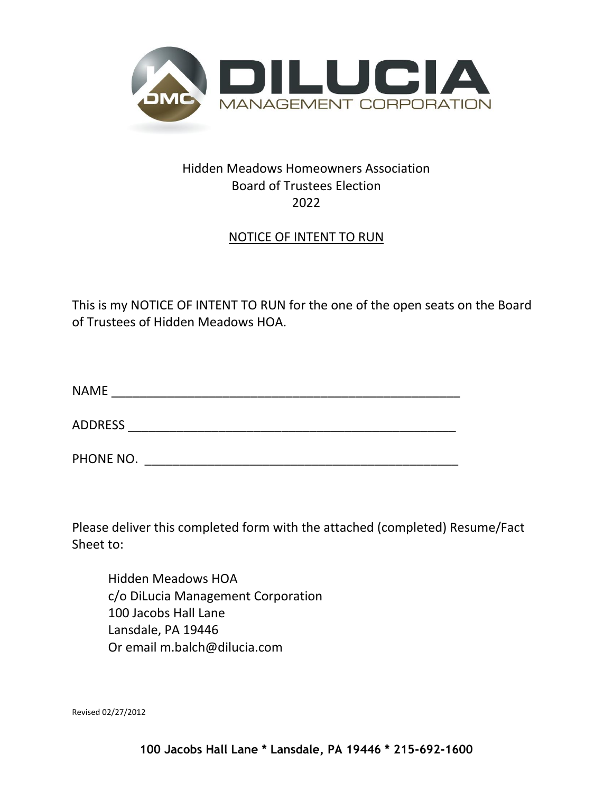

## Hidden Meadows Homeowners Association Board of Trustees Election 2022

## NOTICE OF INTENT TO RUN

This is my NOTICE OF INTENT TO RUN for the one of the open seats on the Board of Trustees of Hidden Meadows HOA.

| <b>NAME</b> |  |  |  |
|-------------|--|--|--|
|             |  |  |  |

ADDRESS \_\_\_\_\_\_\_\_\_\_\_\_\_\_\_\_\_\_\_\_\_\_\_\_\_\_\_\_\_\_\_\_\_\_\_\_\_\_\_\_\_\_\_\_\_\_\_

PHONE NO.

Please deliver this completed form with the attached (completed) Resume/Fact Sheet to:

Hidden Meadows HOA c/o DiLucia Management Corporation 100 Jacobs Hall Lane Lansdale, PA 19446 Or email m.balch@dilucia.com

Revised 02/27/2012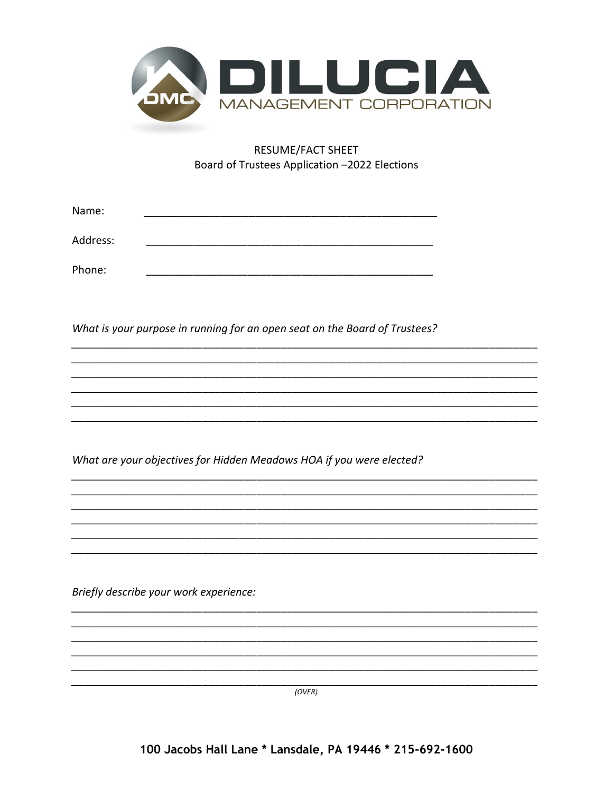

## **RESUME/FACT SHEET** Board of Trustees Application -2022 Elections

| Name:    |  |  |
|----------|--|--|
| Address: |  |  |
| Phone:   |  |  |

What is your purpose in running for an open seat on the Board of Trustees?

What are your objectives for Hidden Meadows HOA if you were elected?

Briefly describe your work experience:

(OVER)